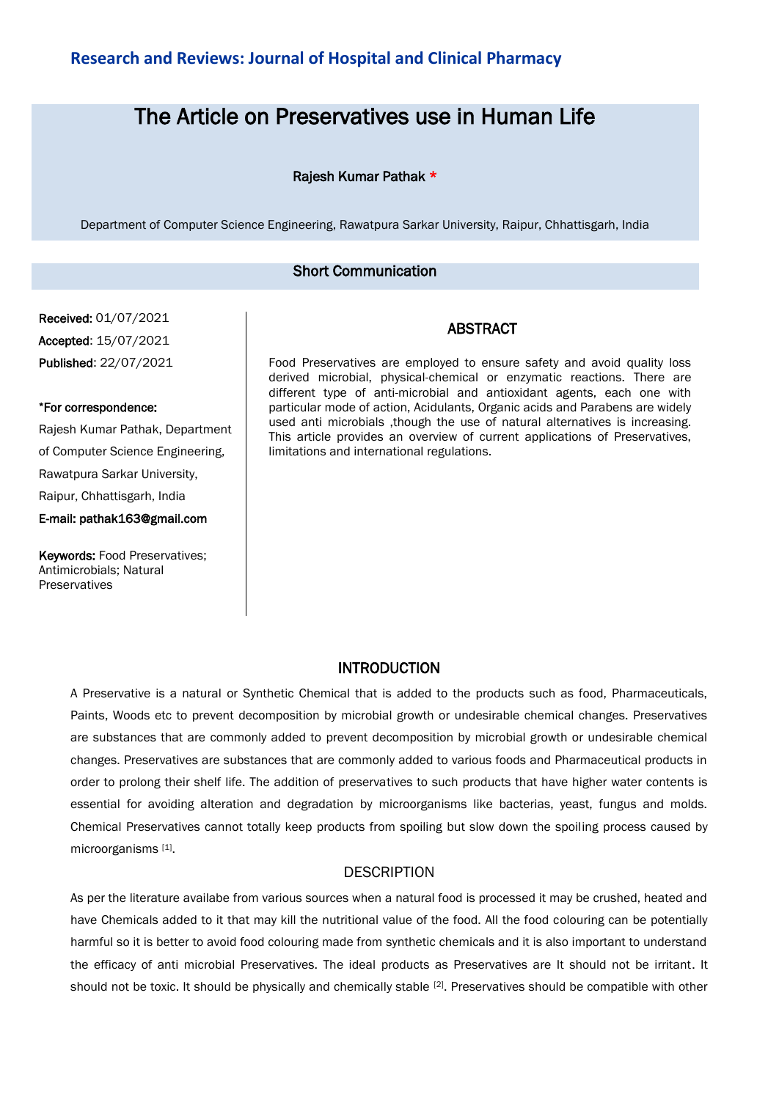# The Article on Preservatives use in Human Life

## Rajesh Kumar Pathak \*

Department of Computer Science Engineering, Rawatpura Sarkar University, Raipur, Chhattisgarh, India

#### Short Communication

# Received: 01/07/2021 Accepted: 15/07/2021 Published: 22/07/2021

#### \*For correspondence:

Rajesh Kumar Pathak, Department of Computer Science Engineering, Rawatpura Sarkar University, Raipur, Chhattisgarh, India E-mail: pathak163@gmail.com

Keywords: Food Preservatives; Antimicrobials; Natural Preservatives

Food Preservatives are employed to ensure safety and avoid quality loss derived microbial, physical-chemical or enzymatic reactions. There are different type of anti-microbial and antioxidant agents, each one with particular mode of action, Acidulants, Organic acids and Parabens are widely used anti microbials ,though the use of natural alternatives is increasing. This article provides an overview of current applications of Preservatives, limitations and international regulations.

ABSTRACT

## INTRODUCTION

A Preservative is a natural or Synthetic Chemical that is added to the products such as food, Pharmaceuticals, Paints, Woods etc to prevent decomposition by microbial growth or undesirable chemical changes. Preservatives are substances that are commonly added to prevent decomposition by microbial growth or undesirable chemical changes. Preservatives are substances that are commonly added to various foods and Pharmaceutical products in order to prolong their shelf life. The addition of preservatives to such products that have higher water contents is essential for avoiding alteration and degradation by microorganisms like bacterias, yeast, fungus and molds. Chemical Preservatives cannot totally keep products from spoiling but slow down the spoiling process caused by microorganisms [1] .

## **DESCRIPTION**

As per the literature availabe from various sources when a natural food is processed it may be crushed, heated and have Chemicals added to it that may kill the nutritional value of the food. All the food colouring can be potentially harmful so it is better to avoid food colouring made from synthetic chemicals and it is also important to understand the efficacy of anti microbial Preservatives. The ideal products as Preservatives are It should not be irritant. It should not be toxic. It should be physically and chemically stable [2]. Preservatives should be compatible with other